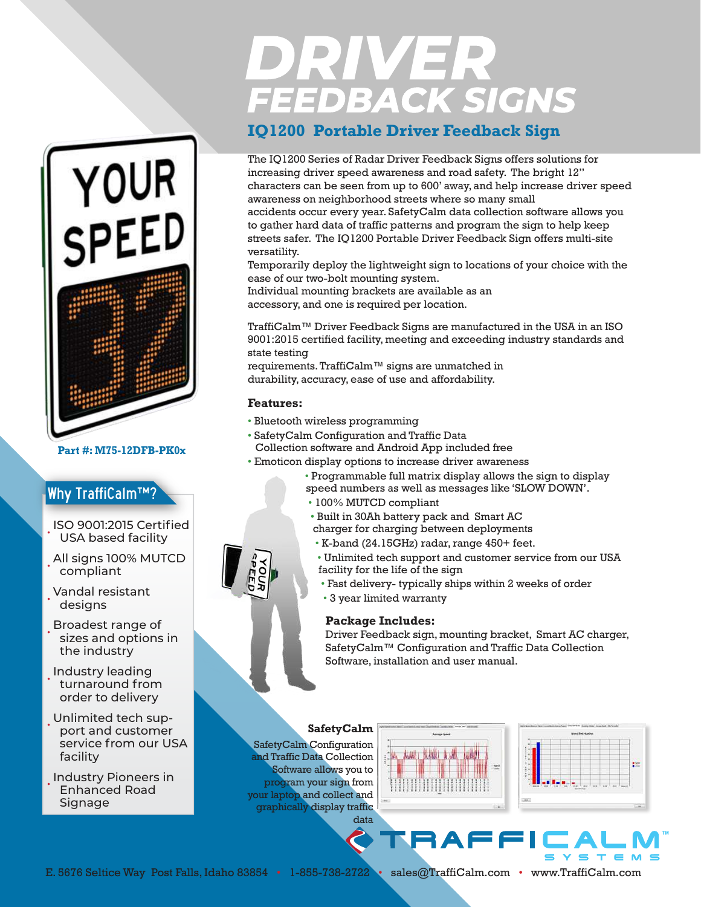# DRIVER<br>FEEDBACK SIGNS

## **IQ1200 Portable Driver Feedback Sign**

The IQ1200 Series of Radar Driver Feedback Signs offers solutions for increasing driver speed awareness and road safety. The bright 12" characters can be seen from up to 600' away, and help increase driver speed awareness on neighborhood streets where so many small accidents occur every year. SafetyCalm data collection software allows you to gather hard data of traffic patterns and program the sign to help keep streets safer. The IQ1200 Portable Driver Feedback Sign offers multi-site versatility.

Temporarily deploy the lightweight sign to locations of your choice with the ease of our two-bolt mounting system.

Individual mounting brackets are available as an accessory, and one is required per location.

TraffiCalm™ Driver Feedback Signs are manufactured in the USA in an ISO 9001:2015 certified facility, meeting and exceeding industry standards and state testing

requirements. TraffiCalm™ signs are unmatched in durability, accuracy, ease of use and affordability.

### **Features:**

- Bluetooth wireless programming
- SafetyCalm Configuration and Traffic Data Collection software and Android App included free
- Emoticon display options to increase driver awareness
	- Programmable full matrix display allows the sign to display speed numbers as well as messages like 'SLOW DOWN'.
	- 100% MUTCD compliant
	- Built in 30Ah battery pack and Smart AC
	- charger for charging between deployments
	- K-band (24.15GHz) radar, range 450+ feet.
	- Unlimited tech support and customer service from our USA facility for the life of the sign
	- Fast delivery- typically ships within 2 weeks of order
	- 3 year limited warranty

#### **Package Includes:**

Driver Feedback sign, mounting bracket, Smart AC charger, SafetyCalm™ Configuration and Traffic Data Collection Software, installation and user manual.

#### **SafetyCalm**

SafetyCalm Configuration and Traffic Data Collection Software allows you to program your sign from your laptop and collect and graphically display traffic





data **TRAFF** 

E. 5676 Seltice Way Post Falls, Idaho 83854 • 1-855-738-2722 • sales@TraffiCalm.com • www.TraffiCalm.com



**Part #: M75-12DFB-PK0x**

YOUR<br>SPEED

- designs
- Broadest range of sizes and options in the industry
- Industry leading turnaround from order to delivery
- Unlimited tech support and customer service from our USA facility
- Industry Pioneers in Enhanced Road Signage

• ISO 9001:2015 Certified USA based facility • All signs 100% MUTCD

Why TraffiCalm™?

• Vandal resistant

- 
-